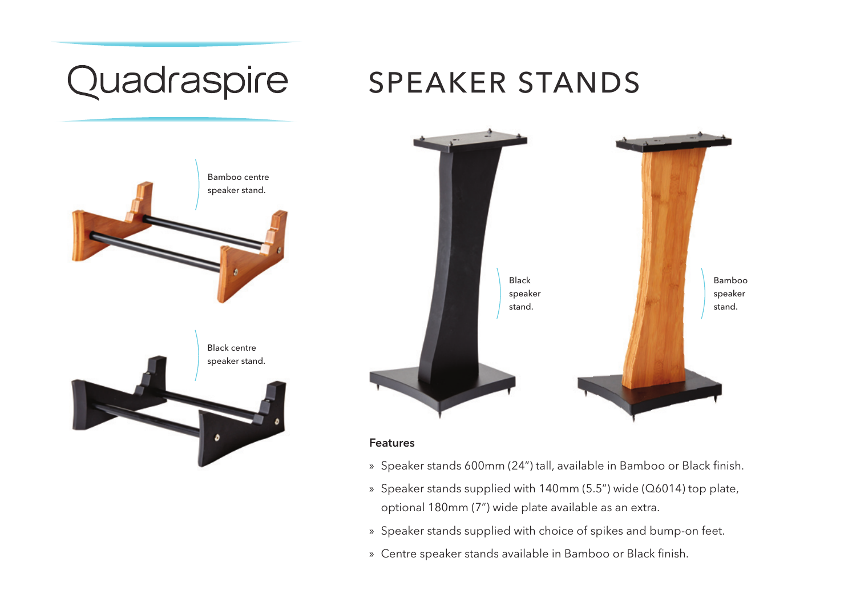### Quadraspire SPEAKER STANDS Bamboo centre speaker stand. Bamboo Black speaker speaker stand. stand. Black centre speaker stand.Features

- » Speaker stands 600mm (24") tall, available in Bamboo or Black finish.
- » Speaker stands supplied with 140mm (5.5") wide (Q6014) top plate, optional 180mm (7") wide plate available as an extra.
- » Speaker stands supplied with choice of spikes and bump-on feet.
- » Centre speaker stands available in Bamboo or Black finish.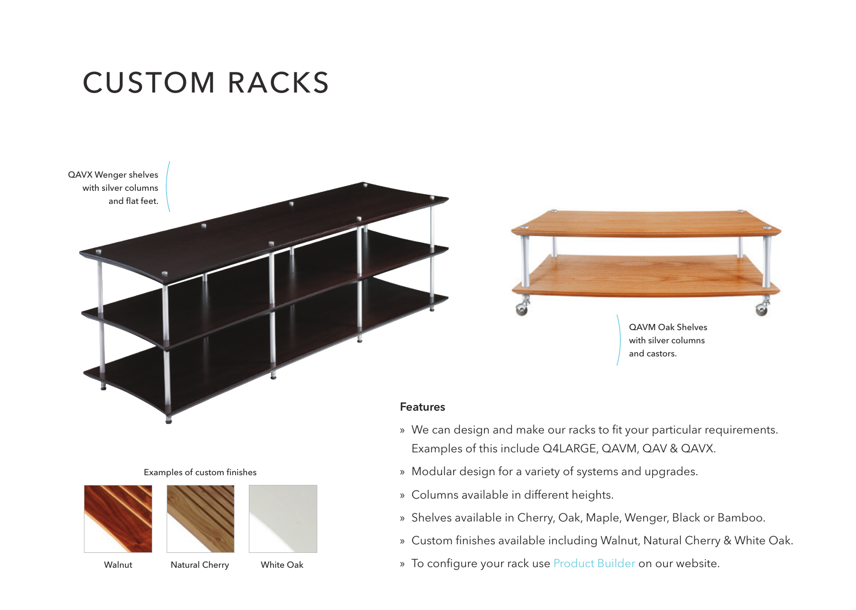CUSTOM RACKS



» We can design and make our racks to fit your particular requirements.

Examples of custom finishes





Walnut Natural Cherry White Oak

» To configure your rack use Product Builder on our website.

» Shelves available in Cherry, Oak, Maple, Wenger, Black or Bamboo. » Custom finishes available including Walnut, Natural Cherry & White Oak.

Examples of this include Q4LARGE, QAVM, QAV & QAVX. » Modular design for a variety of systems and upgrades.

» Columns available in different heights.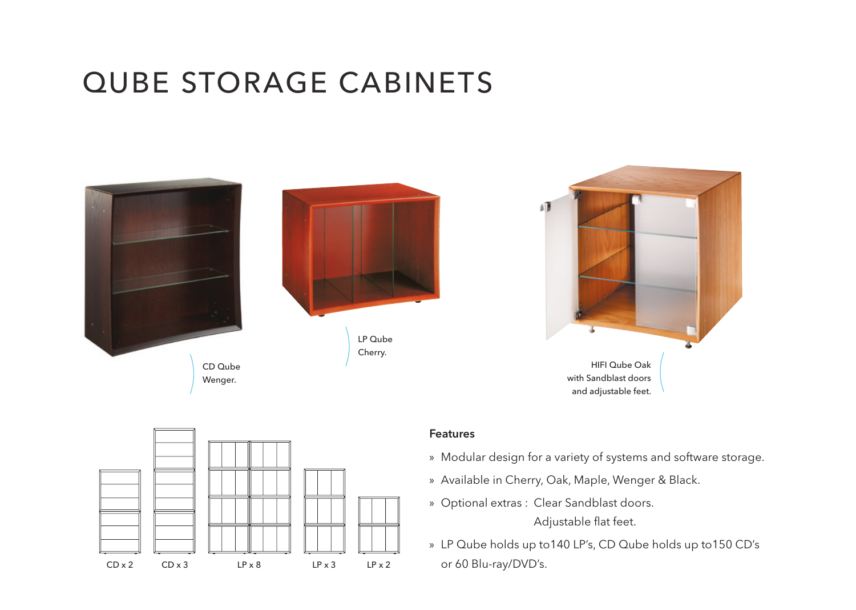## QUBE STORAGE CABINETS







### Features

- » Modular design for a variety of systems and software storage.
- » Available in Cherry, Oak, Maple, Wenger & Black.
- » Optional extras : Clear Sandblast doors.» » »

Adjustable flat feet.

» LP Qube holds up to140 LP's, CD Qube holds up to150 CD's or 60 Blu-ray/DVD's.